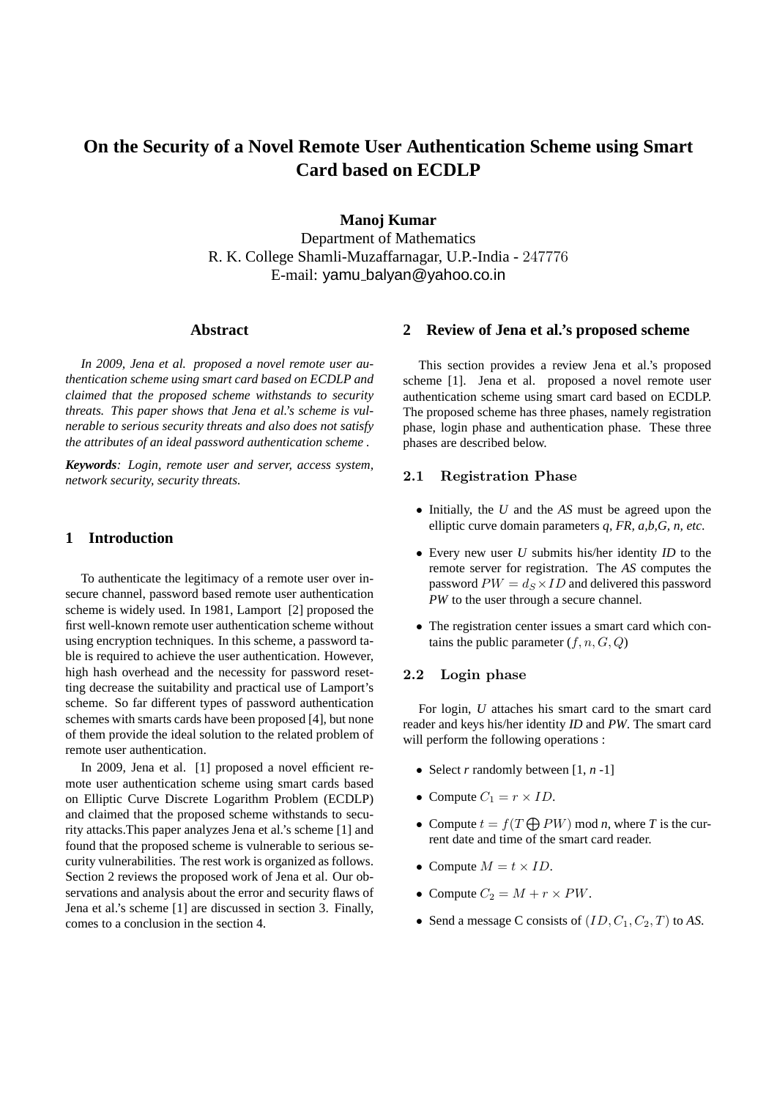# **On the Security of a Novel Remote User Authentication Scheme using Smart Card based on ECDLP**

**Manoj Kumar** Department of Mathematics R. K. College Shamli-Muzaffarnagar, U.P.-India - 247776 E-mail: yamu balyan@yahoo.co.in

#### **Abstract**

*In 2009, Jena et al. proposed a novel remote user authentication scheme using smart card based on ECDLP and claimed that the proposed scheme withstands to security threats. This paper shows that Jena et al.'s scheme is vulnerable to serious security threats and also does not satisfy the attributes of an ideal password authentication scheme .*

*Keywords: Login, remote user and server, access system, network security, security threats.*

# **1 Introduction**

To authenticate the legitimacy of a remote user over insecure channel, password based remote user authentication scheme is widely used. In 1981, Lamport [2] proposed the first well-known remote user authentication scheme without using encryption techniques. In this scheme, a password table is required to achieve the user authentication. However, high hash overhead and the necessity for password resetting decrease the suitability and practical use of Lamport's scheme. So far different types of password authentication schemes with smarts cards have been proposed [4], but none of them provide the ideal solution to the related problem of remote user authentication.

In 2009, Jena et al. [1] proposed a novel efficient remote user authentication scheme using smart cards based on Elliptic Curve Discrete Logarithm Problem (ECDLP) and claimed that the proposed scheme withstands to security attacks.This paper analyzes Jena et al.'s scheme [1] and found that the proposed scheme is vulnerable to serious security vulnerabilities. The rest work is organized as follows. Section 2 reviews the proposed work of Jena et al. Our observations and analysis about the error and security flaws of Jena et al.'s scheme [1] are discussed in section 3. Finally, comes to a conclusion in the section 4.

## **2 Review of Jena et al.'s proposed scheme**

This section provides a review Jena et al.'s proposed scheme [1]. Jena et al. proposed a novel remote user authentication scheme using smart card based on ECDLP. The proposed scheme has three phases, namely registration phase, login phase and authentication phase. These three phases are described below.

#### 2.1 Registration Phase

- Initially, the *U* and the *AS* must be agreed upon the elliptic curve domain parameters *q, FR, a,b,G, n, etc*.
- Every new user *U* submits his/her identity *ID* to the remote server for registration. The *AS* computes the password  $PW = d_S \times ID$  and delivered this password *PW* to the user through a secure channel.
- The registration center issues a smart card which contains the public parameter  $(f, n, G, Q)$

#### 2.2 Login phase

For login, *U* attaches his smart card to the smart card reader and keys his/her identity *ID* and *PW*. The smart card will perform the following operations :

- Select *r* randomly between [1, *n* -1]
- Compute  $C_1 = r \times ID$ .
- Compute  $t = f(T \bigoplus PW)$  mod *n*, where *T* is the current date and time of the smart card reader.
- Compute  $M = t \times ID$ .
- Compute  $C_2 = M + r \times PW$ .
- Send a message C consists of  $(ID, C_1, C_2, T)$  to *AS*.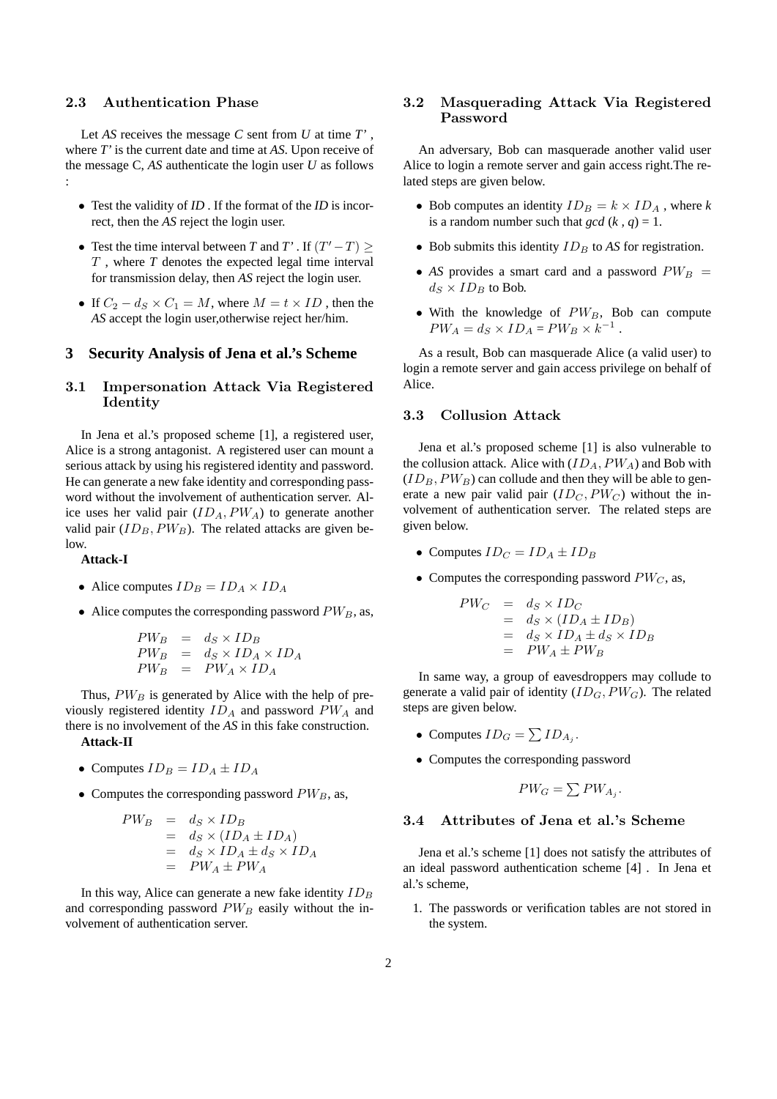#### 2.3 Authentication Phase

Let *AS* receives the message *C* sent from *U* at time *T'* , where *T'* is the current date and time at *AS*. Upon receive of the message C, *AS* authenticate the login user *U* as follows :

- Test the validity of *ID* . If the format of the *ID* is incorrect, then the *AS* reject the login user.
- Test the time interval between *T* and *T'* . If  $(T'-T) \ge$ T , where *T* denotes the expected legal time interval for transmission delay, then *AS* reject the login user.
- If  $C_2 d_S \times C_1 = M$ , where  $M = t \times ID$ , then the *AS* accept the login user,otherwise reject her/him.

## **3 Security Analysis of Jena et al.'s Scheme**

## 3.1 Impersonation Attack Via Registered Identity

In Jena et al.'s proposed scheme [1], a registered user, Alice is a strong antagonist. A registered user can mount a serious attack by using his registered identity and password. He can generate a new fake identity and corresponding password without the involvement of authentication server. Alice uses her valid pair  $(ID<sub>A</sub>, PW<sub>A</sub>)$  to generate another valid pair  $(ID_B, PW_B)$ . The related attacks are given below.

#### **Attack-I**

- Alice computes  $ID_B = ID_A \times ID_A$
- Alice computes the corresponding password  $PW_B$ , as,

$$
\begin{array}{rcl}\nPW_B & = & d_S \times ID_B \\
PW_B & = & d_S \times ID_A \times ID_A \\
PW_B & = & PW_A \times ID_A\n\end{array}
$$

Thus,  $PW_B$  is generated by Alice with the help of previously registered identity  $ID_A$  and password  $PW_A$  and there is no involvement of the *AS* in this fake construction. **Attack-II**

- Computes  $ID_B = ID_A \pm ID_A$
- Computes the corresponding password  $PW_B$ , as,

$$
PW_B = d_S \times ID_B
$$
  
=  $d_S \times (ID_A \pm ID_A)$   
=  $d_S \times ID_A \pm d_S \times ID_A$   
=  $PWA \pm PW_A$ 

In this way, Alice can generate a new fake identity  $ID_B$ and corresponding password  $PW_B$  easily without the involvement of authentication server.

# 3.2 Masquerading Attack Via Registered Password

An adversary, Bob can masquerade another valid user Alice to login a remote server and gain access right.The related steps are given below.

- Bob computes an identity  $ID_B = k \times ID_A$ , where *k* is a random number such that  $gcd(k, q) = 1$ .
- Bob submits this identity  $ID_B$  to  $AS$  for registration.
- *AS* provides a smart card and a password  $PW_B =$  $d_S \times ID_B$  to Bob.
- With the knowledge of  $PW_B$ , Bob can compute  $PW_A = d_S \times ID_A = PW_B \times k^{-1}$ .

As a result, Bob can masquerade Alice (a valid user) to login a remote server and gain access privilege on behalf of Alice.

## 3.3 Collusion Attack

Jena et al.'s proposed scheme [1] is also vulnerable to the collusion attack. Alice with  $(ID<sub>A</sub>, PW<sub>A</sub>)$  and Bob with  $(ID_B, PW_B)$  can collude and then they will be able to generate a new pair valid pair  $(ID_C, PW_C)$  without the involvement of authentication server. The related steps are given below.

- Computes  $ID_C = ID_A \pm ID_B$
- Computes the corresponding password  $PW_C$ , as,

$$
PW_C = d_S \times ID_C
$$
  
=  $d_S \times (ID_A \pm ID_B)$   
=  $d_S \times ID_A \pm d_S \times ID_B$   
=  $PW_A \pm PW_B$ 

In same way, a group of eavesdroppers may collude to generate a valid pair of identity  $(ID_G, PW_G)$ . The related steps are given below.

- Computes  $ID_G = \sum ID_{A_j}$ .
- Computes the corresponding password

$$
PW_G = \sum PW_{A_j}.
$$

## 3.4 Attributes of Jena et al.'s Scheme

Jena et al.'s scheme [1] does not satisfy the attributes of an ideal password authentication scheme [4] . In Jena et al.'s scheme,

1. The passwords or verification tables are not stored in the system.